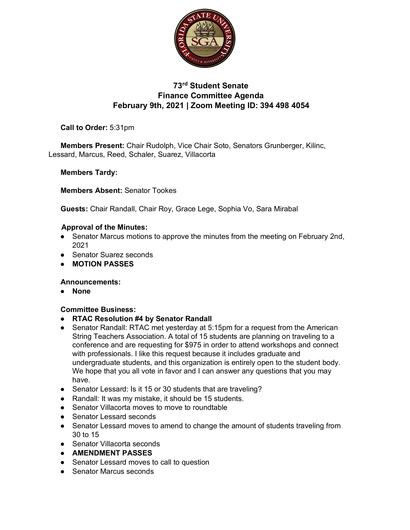

# **73rd Student Senate Finance Committee Agenda February 9th, 2021 | Zoom Meeting ID: 394 498 4054**

## **Call to Order:** 5:31pm

**Members Present:** Chair Rudolph, Vice Chair Soto, Senators Grunberger, Kilinc, Lessard, Marcus, Reed, Schaler, Suarez, Villacorta

### **Members Tardy:**

**Members Absent:** Senator Tookes

**Guests:** Chair Randall, Chair Roy, Grace Lege, Sophia Vo, Sara Mirabal

#### **Approval of the Minutes:**

- Senator Marcus motions to approve the minutes from the meeting on February 2nd, 2021
- Senator Suarez seconds
- **MOTION PASSES**

#### **Announcements:**

● **None**

#### **Committee Business:**

- **RTAC Resolution #4 by Senator Randall**
- Senator Randall: RTAC met yesterday at 5:15pm for a request from the American String Teachers Association. A total of 15 students are planning on traveling to a conference and are requesting for \$975 in order to attend workshops and connect with professionals. I like this request because it includes graduate and undergraduate students, and this organization is entirely open to the student body. We hope that you all vote in favor and I can answer any questions that you may have.
- Senator Lessard: Is it 15 or 30 students that are traveling?
- Randall: It was my mistake, it should be 15 students.
- Senator Villacorta moves to move to roundtable
- Senator Lessard seconds
- Senator Lessard moves to amend to change the amount of students traveling from 30 to 15
- Senator Villacorta seconds
- **AMENDMENT PASSES**
- Senator Lessard moves to call to question
- Senator Marcus seconds